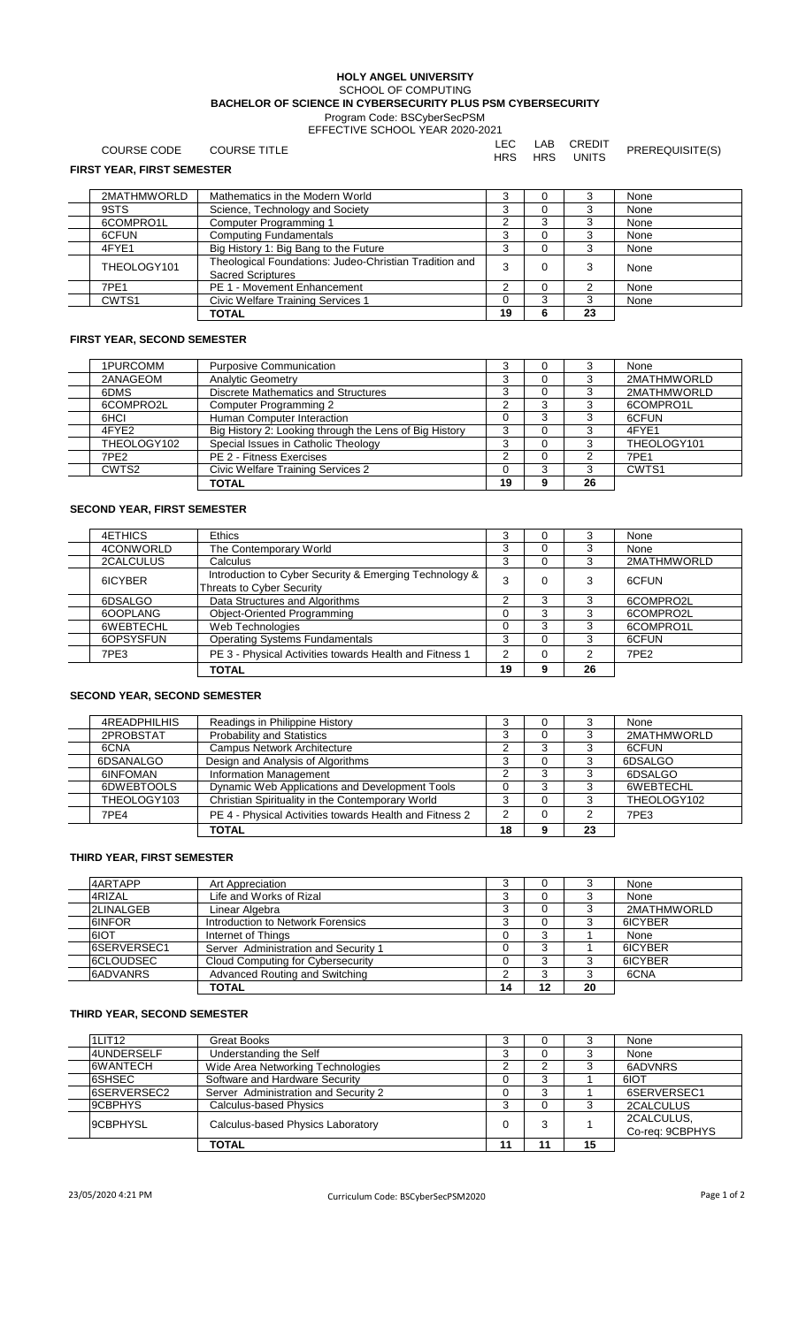#### **HOLY ANGEL UNIVERSITY** SCHOOL OF COMPUTING **BACHELOR OF SCIENCE IN CYBERSECURITY PLUS PSM CYBERSECURITY** Program Code: BSCyberSecPSM EFFECTIVE SCHOOL YEAR 2020-2021

| COURSE CODE                       | <b>COURSE TITLE</b>                                                                | LEC.<br><b>HRS</b> | LAB<br><b>HRS</b> | CREDIT<br>UNITS | PREREQUISITE(S) |
|-----------------------------------|------------------------------------------------------------------------------------|--------------------|-------------------|-----------------|-----------------|
| <b>FIRST YEAR, FIRST SEMESTER</b> |                                                                                    |                    |                   |                 |                 |
| 2MATHMWORLD                       | Mathematics in the Modern World                                                    | 3                  | 0                 | 3               | None            |
| 9STS                              | Science, Technology and Society                                                    | 3                  | 0                 | 3               | None            |
| 6COMPRO1L                         | Computer Programming 1                                                             |                    | 3                 | 3               | None            |
| 6CFUN                             | <b>Computing Fundamentals</b>                                                      | 3                  | $\Omega$          | 3               | None            |
| 4FYE1                             | Big History 1: Big Bang to the Future                                              | 3                  | 0                 | 3               | None            |
| THEOLOGY101                       | Theological Foundations: Judeo-Christian Tradition and<br><b>Sacred Scriptures</b> |                    | 0                 | 3               | None            |
| 7PE1                              | PE 1 - Movement Enhancement                                                        | 2                  | 0                 | 2               | None            |
| CWTS1                             | Civic Welfare Training Services 1                                                  |                    | 3                 | 3               | None            |
|                                   | <b>TOTAL</b>                                                                       | 19                 | 6                 | 23              |                 |

### **FIRST YEAR, SECOND SEMESTER**

| 1PURCOMM         | <b>Purposive Communication</b>                         |    |    | None        |
|------------------|--------------------------------------------------------|----|----|-------------|
| 2ANAGEOM         | <b>Analytic Geometry</b>                               |    |    | 2MATHMWORLD |
| 6DMS             | Discrete Mathematics and Structures                    |    |    | 2MATHMWORLD |
| 6COMPRO2L        | Computer Programming 2                                 | ⌒  |    | 6COMPRO1L   |
| 6HCI             | Human Computer Interaction                             |    |    | 6CFUN       |
| 4FYE2            | Big History 2: Looking through the Lens of Big History | 3  |    | 4FYF1       |
| THEOLOGY102      | Special Issues in Catholic Theology                    |    |    | THEOLOGY101 |
| 7PE <sub>2</sub> | PE 2 - Fitness Exercises                               | ົ  |    | 7PE1        |
| CWTS2            | Civic Welfare Training Services 2                      |    |    | CWTS1       |
|                  | <b>TOTAL</b>                                           | 19 | 26 |             |

## **SECOND YEAR, FIRST SEMESTER**

| 4ETHICS   | <b>Ethics</b>                                                                       |                |   |    | None             |
|-----------|-------------------------------------------------------------------------------------|----------------|---|----|------------------|
| 4CONWORLD | The Contemporary World                                                              | 3              |   |    | None             |
| 2CALCULUS | <b>Calculus</b>                                                                     | 3              |   |    | 2MATHMWORLD      |
| 6ICYBER   | Introduction to Cyber Security & Emerging Technology &<br>Threats to Cyber Security | 3              |   |    | 6CFUN            |
| 6DSALGO   | Data Structures and Algorithms                                                      | ົ              |   |    | 6COMPRO2L        |
| 6OOPLANG  | Object-Oriented Programming                                                         | ი              | 3 |    | 6COMPRO2L        |
| 6WEBTECHL | Web Technologies                                                                    |                | з |    | 6COMPRO1L        |
| 6OPSYSFUN | <b>Operating Systems Fundamentals</b>                                               | 3              |   |    | 6CFUN            |
| 7PE3      | PE 3 - Physical Activities towards Health and Fitness 1                             | $\overline{2}$ |   |    | 7PE <sub>2</sub> |
|           | <b>TOTAL</b>                                                                        | 19             | g | 26 |                  |

## **SECOND YEAR, SECOND SEMESTER**

| 4READPHILHIS    | Readings in Philippine History                          |    | $\mathbf{U}$ |    | None        |
|-----------------|---------------------------------------------------------|----|--------------|----|-------------|
| 2PROBSTAT       | <b>Probability and Statistics</b>                       | C  |              |    | 2MATHMWORLD |
| 6CNA            | <b>Campus Network Architecture</b>                      |    |              |    | 6CFUN       |
| 6DSANALGO       | Design and Analysis of Algorithms                       |    |              |    | 6DSALGO     |
| <b>6INFOMAN</b> | Information Management                                  |    |              |    | 6DSALGO     |
| 6DWEBTOOLS      | Dynamic Web Applications and Development Tools          |    |              |    | 6WEBTECHL   |
| THEOLOGY103     | Christian Spirituality in the Contemporary World        |    |              |    | THEOLOGY102 |
| 7PE4            | PE 4 - Physical Activities towards Health and Fitness 2 |    |              |    | 7PE3        |
|                 | <b>TOTAL</b>                                            | 18 |              | 23 |             |

### **THIRD YEAR, FIRST SEMESTER**

| 4ARTAPP          | Art Appreciation                     |    |    |    | None        |
|------------------|--------------------------------------|----|----|----|-------------|
| 4RIZAL           | Life and Works of Rizal              | J  |    |    | None        |
| <b>2LINALGEB</b> | Linear Algebra                       |    |    |    | 2MATHMWORLD |
| 6INFOR           | Introduction to Network Forensics    | J  |    |    | 6ICYBER     |
| 6IOT             | Internet of Things                   |    |    |    | None        |
| 6SERVERSEC1      | Server Administration and Security 1 |    |    |    | 6ICYBER     |
| 6CLOUDSEC        | Cloud Computing for Cybersecurity    |    |    |    | 6ICYBER     |
| 6ADVANRS         | Advanced Routing and Switching       |    |    |    | 6CNA        |
|                  | TOTAL                                | 14 | 12 | 20 |             |

# **THIRD YEAR, SECOND SEMESTER**

| 1LIT12      | Great Books                          |    |    | None            |
|-------------|--------------------------------------|----|----|-----------------|
| 4UNDERSELF  | Understanding the Self               |    |    | None            |
| 6WANTECH    | Wide Area Networking Technologies    |    |    | 6ADVNRS         |
| 6SHSEC      | Software and Hardware Security       |    |    | 6IOT            |
| 6SERVERSEC2 | Server Administration and Security 2 |    |    | 6SERVERSEC1     |
| 9CBPHYS     | Calculus-based Physics               |    |    | 2CALCULUS       |
| 9CBPHYSL    | Calculus-based Physics Laboratory    |    |    | 2CALCULUS,      |
|             |                                      |    |    | Co-reg: 9CBPHYS |
|             | <b>TOTAL</b>                         | 11 | 15 |                 |